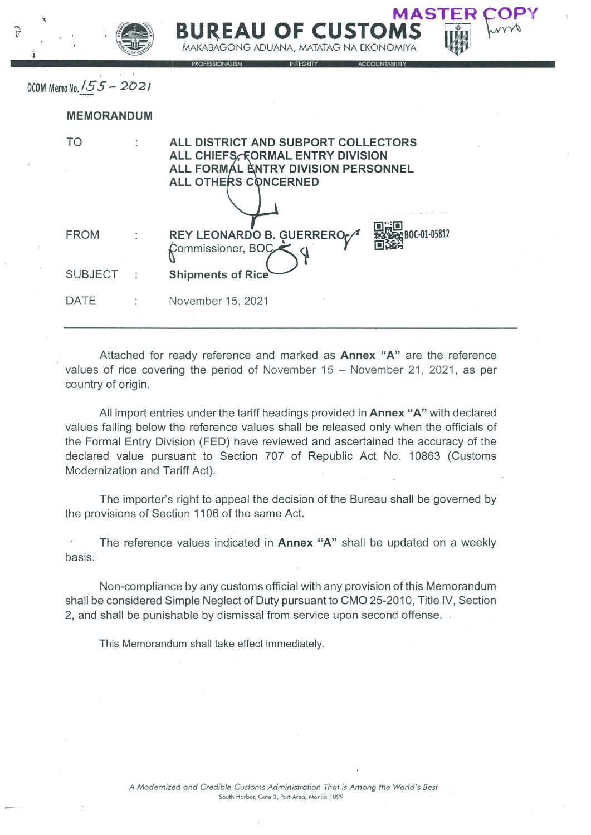| Ä |                          | MASTER<br><b>BUREAU OF CUSTOMS</b><br>MAKABAGONG ADUANA, MATATAG NA EKONOMIYA<br><b>PROFESSIONALISM</b><br>INTEGRITY<br><b>ACCOUNTABILITY</b>  |
|---|--------------------------|------------------------------------------------------------------------------------------------------------------------------------------------|
|   | OCOM Memo No. 155 - 2021 |                                                                                                                                                |
|   | <b>MEMORANDUM</b>        |                                                                                                                                                |
|   | TO                       | ALL DISTRICT AND SUBPORT COLLECTORS<br>ALL CHIEFS, FORMAL ENTRY DIVISION<br>ALL FORMÁL ENTRY DIVISION PERSONNEL<br><b>ALL OTHERS CONCERNED</b> |
|   | <b>FROM</b>              | BOC-01-05812<br>REY LEONARDO B. GUERRERO<br>Commissioner, BOC                                                                                  |
|   | <b>SUBJECT</b>           | <b>Shipments of Rice</b>                                                                                                                       |
|   | DATE                     | November 15, 2021                                                                                                                              |

~  $\mathbf{v}$ 

> Attached for ready reference and marked as Annex "A" are the reference values of rice covering the period of November  $15 -$  November 21, 2021, as per country of origin.

> All import entries under the tariff headings provided in **Annex "A"** with declared values falling below the reference values shall be released only when the officials of the Formal Entry Division (FED) have reviewed and ascertained the accuracy of the declared value pursuant to Section 707 of Republic Act No. 10863 (Customs Modernization and Tariff Act).

> The importer's right to appeal the decision of the Bureau shall be governed by the provisions of Section 1106 of the same Act.

> The reference values indicated in Annex "A" shall be updated on a weekly basis.

> Non-compliance by any customs official with any provision of this Memorandum shall be considered Simple Neglect of Duty pursuant to CM0 25-2010, Title IV, Section 2, and shall be punishable by dismissal from service upon second offense.

This Memorandum shall take effect immediately,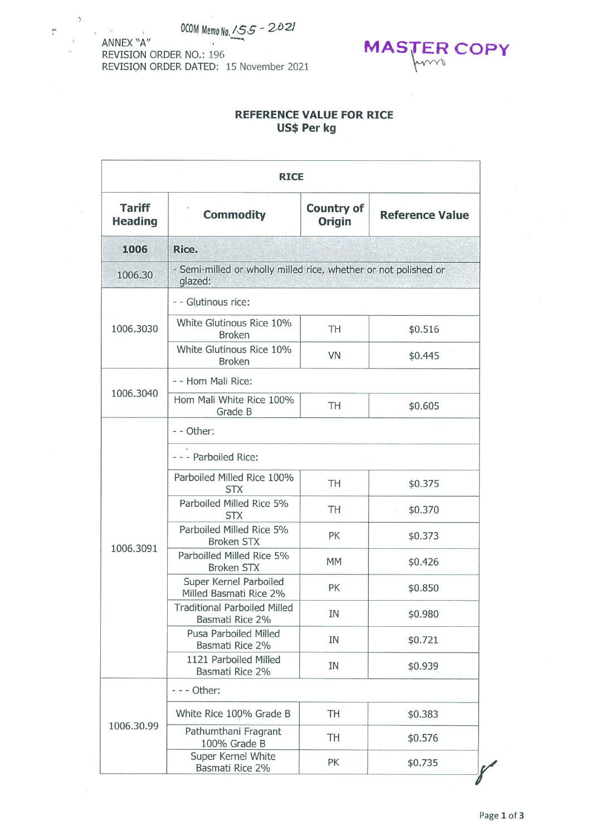ANNEX "A" REVISION ORDER NO.: 196 REVISION ORDER DATED: 15 November 2021

 $\bar{\tau}$ 

 $\mathbb{F}_2$ 

 $\mathbf{r}$ 



## REFERENCE VALUE FOR RICE Us\$ Per kg

| <b>RICE</b>                     |                                                        |                                                                 |                                                                                                                                                                                                                                             |  |  |  |
|---------------------------------|--------------------------------------------------------|-----------------------------------------------------------------|---------------------------------------------------------------------------------------------------------------------------------------------------------------------------------------------------------------------------------------------|--|--|--|
| <b>Tariff</b><br><b>Heading</b> | <b>Commodity</b>                                       | <b>Country of</b><br><b>Origin</b>                              |                                                                                                                                                                                                                                             |  |  |  |
| 1006                            | Rice.                                                  |                                                                 |                                                                                                                                                                                                                                             |  |  |  |
| 1006.30                         | glazed:                                                |                                                                 |                                                                                                                                                                                                                                             |  |  |  |
|                                 | - - Glutinous rice:                                    |                                                                 |                                                                                                                                                                                                                                             |  |  |  |
| 1006.3030                       | White Glutinous Rice 10%<br><b>Broken</b>              | TH                                                              | \$0.516<br>VN<br>\$0.445<br>TH<br>\$0.605<br>TH<br>\$0.375<br>TH<br>\$0.370<br>PK<br>\$0.373<br><b>MM</b><br>\$0.426<br>PK<br>\$0.850<br>IN<br>\$0.980<br>ΙN<br>\$0.721<br>IN<br>\$0.939<br>TH<br>\$0.383<br>TH<br>\$0.576<br>PK<br>\$0.735 |  |  |  |
|                                 | White Glutinous Rice 10%<br><b>Broken</b>              |                                                                 |                                                                                                                                                                                                                                             |  |  |  |
|                                 | - - Hom Mali Rice:                                     |                                                                 |                                                                                                                                                                                                                                             |  |  |  |
| 1006.3040                       | Hom Mali White Rice 100%<br>Grade B                    |                                                                 |                                                                                                                                                                                                                                             |  |  |  |
|                                 | - - Other:                                             |                                                                 |                                                                                                                                                                                                                                             |  |  |  |
|                                 | - - - Parboiled Rice:                                  |                                                                 |                                                                                                                                                                                                                                             |  |  |  |
|                                 | Parboiled Milled Rice 100%<br><b>STX</b>               | - Semi-milled or wholly milled rice, whether or not polished or |                                                                                                                                                                                                                                             |  |  |  |
|                                 | Parboiled Milled Rice 5%<br><b>STX</b>                 |                                                                 | <b>Reference Value</b>                                                                                                                                                                                                                      |  |  |  |
| 1006.3091                       | Parboiled Milled Rice 5%<br><b>Broken STX</b>          |                                                                 |                                                                                                                                                                                                                                             |  |  |  |
|                                 | Parboilled Milled Rice 5%<br><b>Broken STX</b>         |                                                                 |                                                                                                                                                                                                                                             |  |  |  |
|                                 | Super Kernel Parboiled<br>Milled Basmati Rice 2%       |                                                                 |                                                                                                                                                                                                                                             |  |  |  |
|                                 | <b>Traditional Parboiled Milled</b><br>Basmati Rice 2% |                                                                 |                                                                                                                                                                                                                                             |  |  |  |
|                                 | Pusa Parboiled Milled<br>Basmati Rice 2%               |                                                                 |                                                                                                                                                                                                                                             |  |  |  |
|                                 | 1121 Parboiled Milled<br>Basmati Rice 2%               |                                                                 |                                                                                                                                                                                                                                             |  |  |  |
|                                 | - - Other:                                             |                                                                 |                                                                                                                                                                                                                                             |  |  |  |
|                                 | White Rice 100% Grade B                                |                                                                 |                                                                                                                                                                                                                                             |  |  |  |
| 1006.30.99                      | Pathumthani Fragrant<br>100% Grade B                   |                                                                 |                                                                                                                                                                                                                                             |  |  |  |
|                                 | Super Kernel White<br>Basmati Rice 2%                  |                                                                 |                                                                                                                                                                                                                                             |  |  |  |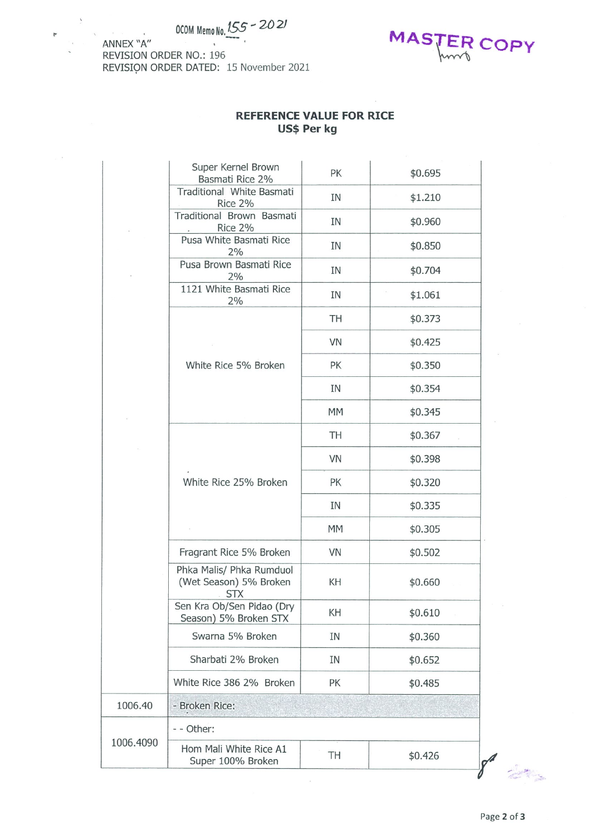## OCOM Memo No.  $155 - 2021$



 $\overline{v}$ 



## REFERENCE VALUE FOR RICE Us\$ Per kg

|           | Super Kernel Brown<br>Basmati Rice 2%                                                                                                                                                                                                           | PK                                                                                                     | \$0.695 |  |  |  |  |
|-----------|-------------------------------------------------------------------------------------------------------------------------------------------------------------------------------------------------------------------------------------------------|--------------------------------------------------------------------------------------------------------|---------|--|--|--|--|
|           | Traditional White Basmati<br>Rice 2%                                                                                                                                                                                                            | IN                                                                                                     | \$1.210 |  |  |  |  |
|           | Traditional Brown Basmati<br>Rice 2%                                                                                                                                                                                                            | IN                                                                                                     | \$0.960 |  |  |  |  |
|           | Pusa White Basmati Rice<br>2%                                                                                                                                                                                                                   | ΙN                                                                                                     | \$0.850 |  |  |  |  |
|           | Pusa Brown Basmati Rice<br>2%                                                                                                                                                                                                                   | IN                                                                                                     | \$0.704 |  |  |  |  |
|           | 1121 White Basmati Rice<br>2%                                                                                                                                                                                                                   | IN                                                                                                     | \$1.061 |  |  |  |  |
|           |                                                                                                                                                                                                                                                 | TH                                                                                                     | \$0.373 |  |  |  |  |
|           |                                                                                                                                                                                                                                                 | VN                                                                                                     | \$0.425 |  |  |  |  |
|           | White Rice 5% Broken                                                                                                                                                                                                                            | PK                                                                                                     | \$0.350 |  |  |  |  |
|           |                                                                                                                                                                                                                                                 | IN                                                                                                     | \$0.354 |  |  |  |  |
|           |                                                                                                                                                                                                                                                 | <b>MM</b>                                                                                              | \$0.345 |  |  |  |  |
|           |                                                                                                                                                                                                                                                 | TH                                                                                                     | \$0.367 |  |  |  |  |
|           |                                                                                                                                                                                                                                                 | VN                                                                                                     | \$0.398 |  |  |  |  |
|           | White Rice 25% Broken<br>PK<br>IN<br><b>MM</b><br>VN<br>Fragrant Rice 5% Broken<br>Phka Malis/ Phka Rumduol<br>(Wet Season) 5% Broken<br>KH<br><b>STX</b><br>Sen Kra Ob/Sen Pidao (Dry<br>KH<br>Season) 5% Broken STX<br>Swarna 5% Broken<br>IN |                                                                                                        | \$0.320 |  |  |  |  |
|           |                                                                                                                                                                                                                                                 | \$0.335                                                                                                |         |  |  |  |  |
|           |                                                                                                                                                                                                                                                 | \$0.305<br>\$0.502<br>\$0.660<br>\$0.610<br>\$0.360<br>IN<br>\$0.652<br>PK<br>\$0.485<br>TH<br>\$0.426 |         |  |  |  |  |
|           |                                                                                                                                                                                                                                                 |                                                                                                        |         |  |  |  |  |
|           |                                                                                                                                                                                                                                                 |                                                                                                        |         |  |  |  |  |
|           |                                                                                                                                                                                                                                                 |                                                                                                        |         |  |  |  |  |
|           |                                                                                                                                                                                                                                                 |                                                                                                        |         |  |  |  |  |
|           | Sharbati 2% Broken                                                                                                                                                                                                                              |                                                                                                        |         |  |  |  |  |
|           | White Rice 386 2% Broken                                                                                                                                                                                                                        |                                                                                                        |         |  |  |  |  |
| 1006.40   | - Broken Rice:                                                                                                                                                                                                                                  |                                                                                                        |         |  |  |  |  |
|           | - - Other:                                                                                                                                                                                                                                      |                                                                                                        |         |  |  |  |  |
| 1006.4090 | Hom Mali White Rice A1<br>Super 100% Broken                                                                                                                                                                                                     |                                                                                                        |         |  |  |  |  |